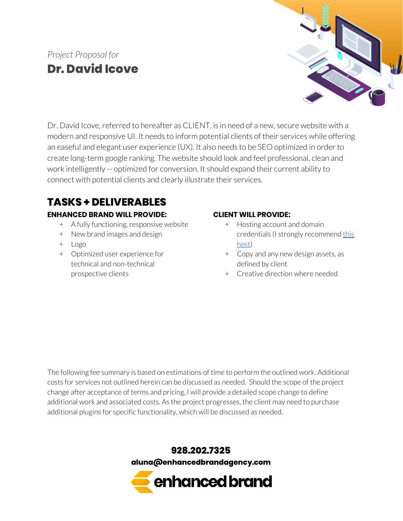

Dr. David Icove, referred to hereafter as CLIENT, is in need of a new, secure website with a modern and responsive UI. It needs to inform potential clients of their services while offering an easeful and elegant user experience (UX). It also needs to be SEO optimized in order to create long-term google ranking. The website should look and feel professional, clean and work intelligently -- optimized for conversion. It should expand their current ability to connect with potential clients and clearly illustrate their services.

## **TASKS + DELIVERABLES**

#### **ENHANCED BRAND WILL PROVIDE:**

- + A fully functioning, responsive website
- + New brand images and design
- + Logo
- + Optimized user experience for technical and non-technical prospective clients

#### **CLIENT WILL PROVIDE:**

- + Hosting account and domain credentials (I strongly recommend [this](https://shareasale.com/r.cfm?b=1055761&u=1728816&m=41388&urllink=&afftrack=) [host](https://shareasale.com/r.cfm?b=1055761&u=1728816&m=41388&urllink=&afftrack=))
- + Copy and any new design assets, as defined by client
- + Creative direction where needed

The following fee summary is based on estimations of time to perform the outlined work. Additional costs for services not outlined herein can be discussed as needed. Should the scope of the project change after acceptance of terms and pricing, I will provide a detailed scope change to define additional work and associated costs. As the project progresses, the client may need to purchase additional plugins for specific functionality, which will be discussed as needed.



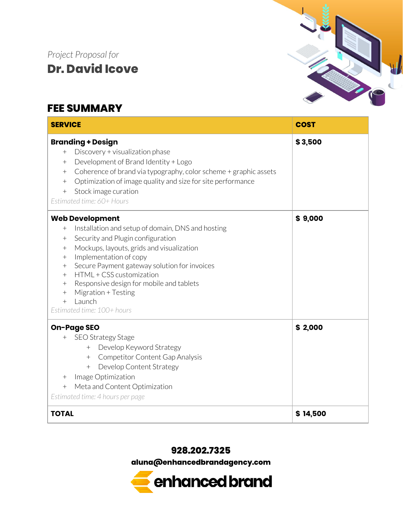### **FEE SUMMARY**



#### **928.202.7325**

**aluna@enhancedbrandagency.com**

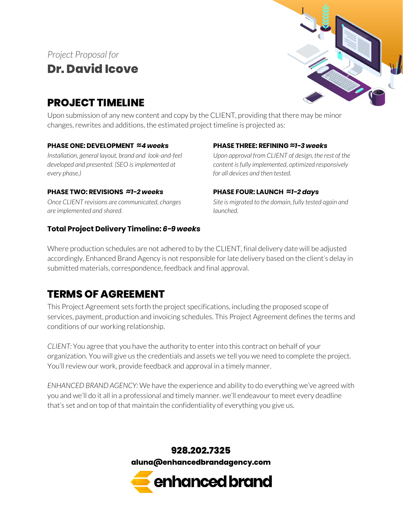## **PROJECT TIMELINE**



Upon submission of any new content and copy by the CLIENT, providing that there may be minor changes, rewrites and additions, the estimated project timeline is projected as:

#### **PHASE ONE: DEVELOPMENT ≈***4 weeks*

*Installation, general layout, brand and look-and-feel developed and presented. (SEO isimplemented at every phase.)*

#### **PHASE TWO: REVISIONS** *≈1-2 weeks*

*Once CLIENT revisions are communicated, changes are implemented and shared.*

#### **Total Project Delivery Timeline:** *6-9 weeks*

#### **PHASE THREE: REFINING ≈***1-3 weeks*

*Upon approval from CLIENT of design, the rest of the content isfully implemented, optimized responsively for all devices and then tested.*

#### **PHASE FOUR: LAUNCH ≈***1-2 days*

*Site is migrated to the domain, fully tested again and launched.*

Where production schedules are not adhered to by the CLIENT, final delivery date will be adjusted accordingly. Enhanced Brand Agency is not responsible for late delivery based on the client's delay in submitted materials, correspondence, feedback and final approval.

### **TERMS OF AGREEMENT**

This Project Agreement sets forth the project specifications, including the proposed scope of services, payment, production and invoicing schedules. This Project Agreement defines the terms and conditions of our working relationship.

*CLIENT:* You agree that you have the authority to enterinto this contract on behalf of your organization. You will give us the credentials and assets we tell you we need to complete the project. You'll review our work, provide feedback and approval in a timely manner.

*ENHANCED BRAND AGENCY:* We have the experience and ability to do everything we've agreed with you and we'll do it all in a professional and timely manner. we'll endeavourto meet every deadline that's set and on top of that maintain the confidentiality of everything you give us.

> **928.202.7325 aluna@enhancedbrandagency.com**

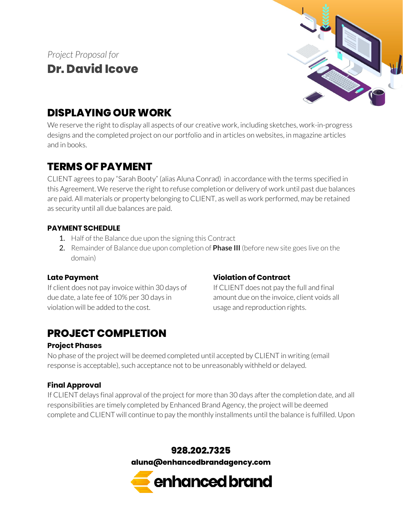

## **DISPLAYING OUR WORK**

We reserve the right to display all aspects of our creative work, including sketches, work-in-progress designs and the completed project on our portfolio and in articles on websites, in magazine articles and in books.

## **TERMS OF PAYMENT**

CLIENT agrees to pay "Sarah Booty" (alias Aluna Conrad) in accordance with the terms specified in this Agreement. We reserve the right to refuse completion or delivery of work until past due balances are paid. All materials or property belonging to CLIENT, as well as work performed, may be retained as security until all due balances are paid.

#### **PAYMENT SCHEDULE**

- 1. Half of the Balance due upon the signing this Contract
- 2. Remainder of Balance due upon completion of **Phase III** (before new site goes live on the domain)

### **Late Payment**

If client does not pay invoice within 30 days of due date, a late fee of 10% per 30 days in violation will be added to the cost.

# **PROJECT COMPLETION**

### **Project Phases**

### **Violation of Contract**

If CLIENT does not pay the full and final amount due on the invoice, client voids all usage and reproduction rights.

No phase of the project will be deemed completed until accepted by CLIENT in writing (email response is acceptable), such acceptance not to be unreasonably withheld or delayed.

### **Final Approval**

If CLIENT delays final approval of the project for more than 30 days afterthe completion date, and all responsibilities are timely completed by Enhanced Brand Agency, the project will be deemed complete and CLIENT will continue to pay the monthly installments until the balance is fulfilled. Upon

> **928.202.7325 aluna@enhancedbrandagency.com**